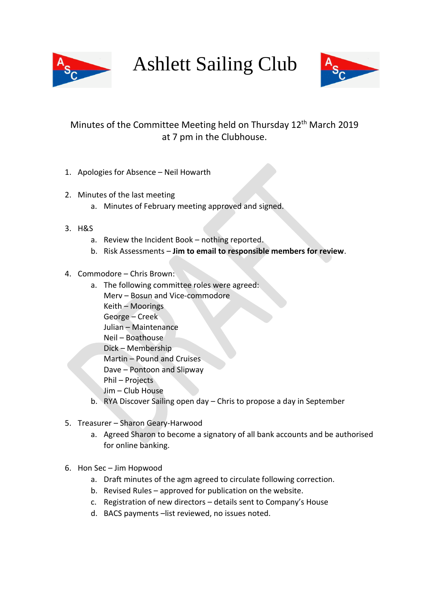

Ashlett Sailing Club



## Minutes of the Committee Meeting held on Thursday 12<sup>th</sup> March 2019 at 7 pm in the Clubhouse.

- 1. Apologies for Absence Neil Howarth
- 2. Minutes of the last meeting
	- a. Minutes of February meeting approved and signed.
- 3. H&S
	- a. Review the Incident Book nothing reported.
	- b. Risk Assessments **Jim to email to responsible members for review**.
- 4. Commodore Chris Brown:
	- a. The following committee roles were agreed: Merv – Bosun and Vice-commodore Keith – Moorings George – Creek Julian – Maintenance Neil – Boathouse Dick – Membership Martin – Pound and Cruises Dave – Pontoon and Slipway Phil – Projects Jim – Club House
	- b. RYA Discover Sailing open day Chris to propose a day in September
- 5. Treasurer Sharon Geary-Harwood
	- a. Agreed Sharon to become a signatory of all bank accounts and be authorised for online banking.
- 6. Hon Sec Jim Hopwood
	- a. Draft minutes of the agm agreed to circulate following correction.
	- b. Revised Rules approved for publication on the website.
	- c. Registration of new directors details sent to Company's House
	- d. BACS payments –list reviewed, no issues noted.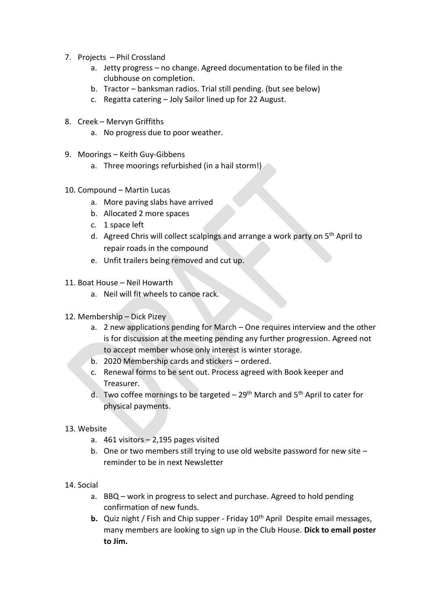- 7. Projects Phil Crossland
	- a. Jetty progress no change. Agreed documentation to be filed in the clubhouse on completion.
	- b. Tractor banksman radios. Trial still pending. (but see below)
	- c. Regatta catering Joly Sailor lined up for 22 August.
- 8. Creek Mervyn Griffiths
	- a. No progress due to poor weather.
- 9. Moorings Keith Guy-Gibbens
	- a. Three moorings refurbished (in a hail storm!)
- 10. Compound Martin Lucas
	- a. More paving slabs have arrived
	- b. Allocated 2 more spaces
	- c. 1 space left
	- d. Agreed Chris will collect scalpings and arrange a work party on  $5<sup>th</sup>$  April to repair roads in the compound
	- e. Unfit trailers being removed and cut up.
- 11. Boat House Neil Howarth
	- a. Neil will fit wheels to canoe rack.
- 12. Membership Dick Pizey
	- a. 2 new applications pending for March One requires interview and the other is for discussion at the meeting pending any further progression. Agreed not to accept member whose only interest is winter storage.
	- b. 2020 Membership cards and stickers ordered.
	- c. Renewal forms to be sent out. Process agreed with Book keeper and Treasurer.
	- d. Two coffee mornings to be targeted  $-29<sup>th</sup>$  March and 5<sup>th</sup> April to cater for physical payments.
- 13. Website
	- a. 461 visitors 2,195 pages visited
	- b. One or two members still trying to use old website password for new site reminder to be in next Newsletter
- 14. Social
	- a. BBQ work in progress to select and purchase. Agreed to hold pending confirmation of new funds.
	- **b.** Quiz night / Fish and Chip supper Friday 10<sup>th</sup> April Despite email messages, many members are looking to sign up in the Club House. **Dick to email poster to Jim.**